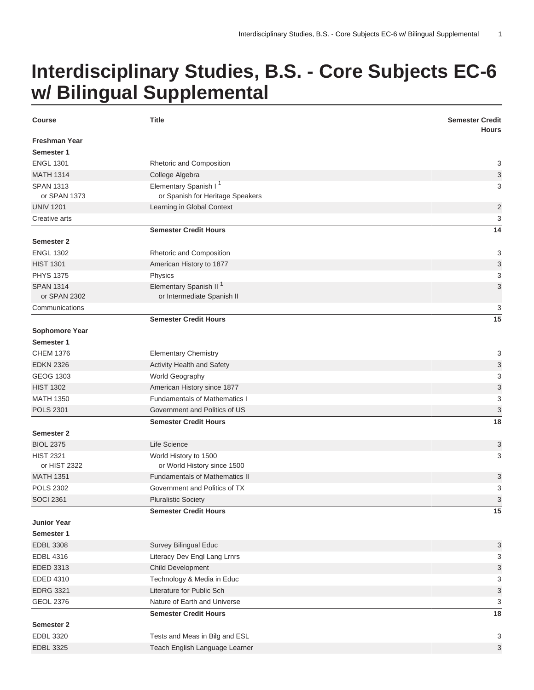## **Interdisciplinary Studies, B.S. - Core Subjects EC-6 w/ Bilingual Supplemental**

| <b>Course</b>                    | <b>Title</b>                                                          | <b>Semester Credit</b><br><b>Hours</b> |
|----------------------------------|-----------------------------------------------------------------------|----------------------------------------|
| Freshman Year                    |                                                                       |                                        |
| Semester 1                       |                                                                       |                                        |
| <b>ENGL 1301</b>                 | Rhetoric and Composition                                              | 3                                      |
| <b>MATH 1314</b>                 | College Algebra                                                       | 3                                      |
| <b>SPAN 1313</b><br>or SPAN 1373 | Elementary Spanish I <sup>1</sup><br>or Spanish for Heritage Speakers | 3                                      |
| <b>UNIV 1201</b>                 | Learning in Global Context                                            | $\overline{2}$                         |
| Creative arts                    |                                                                       | 3                                      |
|                                  | <b>Semester Credit Hours</b>                                          | 14                                     |
| <b>Semester 2</b>                |                                                                       |                                        |
| <b>ENGL 1302</b>                 | Rhetoric and Composition                                              | 3                                      |
| <b>HIST 1301</b>                 | American History to 1877                                              | $\sqrt{3}$                             |
| <b>PHYS 1375</b>                 | Physics                                                               | 3                                      |
| <b>SPAN 1314</b>                 | Elementary Spanish II <sup>1</sup>                                    | 3                                      |
| or SPAN 2302                     | or Intermediate Spanish II                                            |                                        |
| Communications                   |                                                                       | 3                                      |
|                                  | <b>Semester Credit Hours</b>                                          | 15                                     |
| Sophomore Year                   |                                                                       |                                        |
| Semester 1                       |                                                                       |                                        |
| <b>CHEM 1376</b>                 | <b>Elementary Chemistry</b>                                           | 3                                      |
| <b>EDKN 2326</b>                 | <b>Activity Health and Safety</b>                                     | 3                                      |
| GEOG 1303                        | World Geography                                                       | 3                                      |
| <b>HIST 1302</b>                 | American History since 1877                                           | 3                                      |
| <b>MATH 1350</b>                 | <b>Fundamentals of Mathematics I</b>                                  | 3                                      |
| <b>POLS 2301</b>                 | Government and Politics of US                                         | 3                                      |
|                                  | <b>Semester Credit Hours</b>                                          | 18                                     |
| Semester 2                       |                                                                       |                                        |
| <b>BIOL 2375</b>                 | Life Science                                                          | 3                                      |
| <b>HIST 2321</b>                 | World History to 1500                                                 | 3                                      |
| or HIST 2322                     | or World History since 1500                                           |                                        |
| <b>MATH 1351</b>                 | <b>Fundamentals of Mathematics II</b>                                 | 3                                      |
| <b>POLS 2302</b>                 | Government and Politics of TX                                         | 3                                      |
| <b>SOCI 2361</b>                 | <b>Pluralistic Society</b>                                            | 3                                      |
|                                  | <b>Semester Credit Hours</b>                                          | 15                                     |
| <b>Junior Year</b>               |                                                                       |                                        |
| Semester 1                       |                                                                       |                                        |
| <b>EDBL 3308</b>                 | Survey Bilingual Educ                                                 | 3                                      |
| <b>EDBL 4316</b>                 | Literacy Dev Engl Lang Lrnrs                                          | 3                                      |
| EDED 3313                        | Child Development                                                     | 3                                      |
| EDED 4310                        | Technology & Media in Educ                                            | 3                                      |
| <b>EDRG 3321</b>                 | Literature for Public Sch                                             | 3                                      |
| <b>GEOL 2376</b>                 | Nature of Earth and Universe                                          | 3                                      |
|                                  | <b>Semester Credit Hours</b>                                          | 18                                     |
| Semester 2                       |                                                                       |                                        |
| EDBL 3320                        | Tests and Meas in Bilg and ESL                                        | 3                                      |
| <b>EDBL 3325</b>                 | Teach English Language Learner                                        | 3                                      |